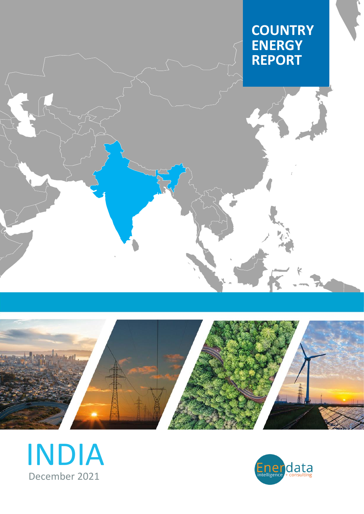# **COUNTRY ENERGY REPORT**





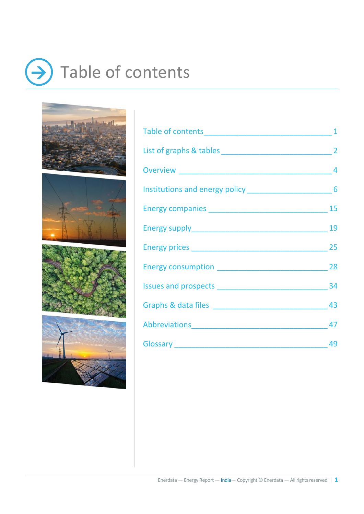# <span id="page-1-0"></span> $\rightarrow$  Table of contents









| Abbreviations 47 |  |
|------------------|--|
|                  |  |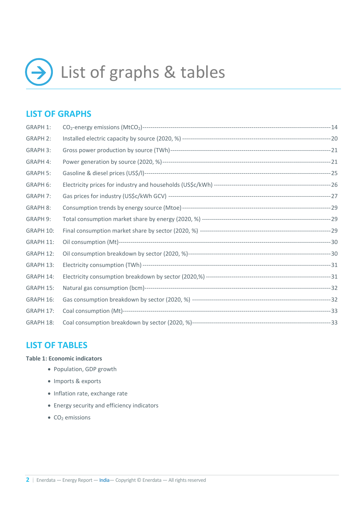<span id="page-2-0"></span>

## **LIST OF GRAPHS**

| <b>GRAPH 1:</b> |  |
|-----------------|--|
| <b>GRAPH 2:</b> |  |
| <b>GRAPH 3:</b> |  |
| GRAPH 4:        |  |
| <b>GRAPH 5:</b> |  |
| GRAPH 6:        |  |
| <b>GRAPH 7:</b> |  |
| <b>GRAPH 8:</b> |  |
| GRAPH 9:        |  |
| GRAPH 10:       |  |
| GRAPH 11:       |  |
| GRAPH 12:       |  |
| GRAPH 13:       |  |
| GRAPH 14:       |  |
| GRAPH 15:       |  |
| GRAPH 16:       |  |
| GRAPH 17:       |  |
| GRAPH 18:       |  |

### **LIST OF TABLES**

#### **Table 1: Economic indicators**

- Population, GDP growth
- Imports & exports
- Inflation rate, exchange rate
- Energy security and efficiency indicators
- $\bullet$  CO<sub>2</sub> emissions